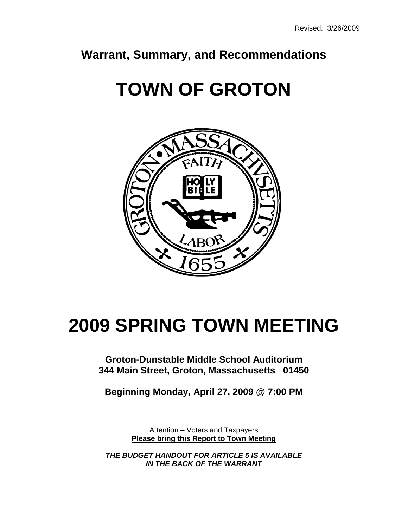### **Warrant, Summary, and Recommendations**

# **TOWN OF GROTON**



## **2009 SPRING TOWN MEETING**

**Groton-Dunstable Middle School Auditorium 344 Main Street, Groton, Massachusetts 01450**

**Beginning Monday, April 27, 2009 @ 7:00 PM**

Attention – Voters and Taxpayers **Please bring this Report to Town Meeting**

*THE BUDGET HANDOUT FOR ARTICLE 5 IS AVAILABLE IN THE BACK OF THE WARRANT*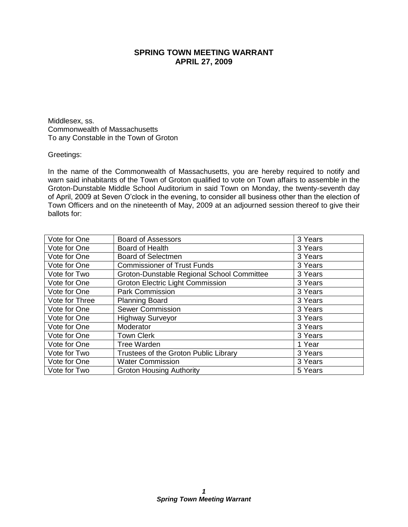### **SPRING TOWN MEETING WARRANT APRIL 27, 2009**

Middlesex, ss. Commonwealth of Massachusetts To any Constable in the Town of Groton

#### Greetings:

In the name of the Commonwealth of Massachusetts, you are hereby required to notify and warn said inhabitants of the Town of Groton qualified to vote on Town affairs to assemble in the Groton-Dunstable Middle School Auditorium in said Town on Monday, the twenty-seventh day of April, 2009 at Seven O'clock in the evening, to consider all business other than the election of Town Officers and on the nineteenth of May, 2009 at an adjourned session thereof to give their ballots for:

| Vote for One   | <b>Board of Assessors</b>                  | 3 Years |
|----------------|--------------------------------------------|---------|
| Vote for One   | Board of Health                            | 3 Years |
| Vote for One   | <b>Board of Selectmen</b>                  | 3 Years |
| Vote for One   | <b>Commissioner of Trust Funds</b>         | 3 Years |
| Vote for Two   | Groton-Dunstable Regional School Committee | 3 Years |
| Vote for One   | <b>Groton Electric Light Commission</b>    | 3 Years |
| Vote for One   | <b>Park Commission</b>                     | 3 Years |
| Vote for Three | <b>Planning Board</b>                      | 3 Years |
| Vote for One   | <b>Sewer Commission</b>                    | 3 Years |
| Vote for One   | <b>Highway Surveyor</b>                    | 3 Years |
| Vote for One   | Moderator                                  | 3 Years |
| Vote for One   | <b>Town Clerk</b>                          | 3 Years |
| Vote for One   | <b>Tree Warden</b>                         | 1 Year  |
| Vote for Two   | Trustees of the Groton Public Library      | 3 Years |
| Vote for One   | <b>Water Commission</b>                    | 3 Years |
| Vote for Two   | <b>Groton Housing Authority</b>            | 5 Years |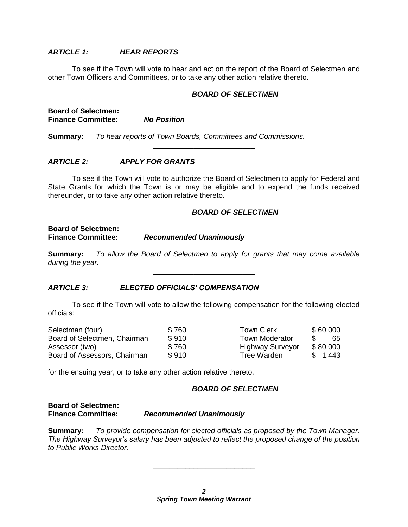#### *ARTICLE 1: HEAR REPORTS*

To see if the Town will vote to hear and act on the report of the Board of Selectmen and other Town Officers and Committees, or to take any other action relative thereto.

#### *BOARD OF SELECTMEN*

| <b>Board of Selectmen:</b> |                    |
|----------------------------|--------------------|
| <b>Finance Committee:</b>  | <b>No Position</b> |

**Summary:** *To hear reports of Town Boards, Committees and Commissions.*

#### *ARTICLE 2: APPLY FOR GRANTS*

To see if the Town will vote to authorize the Board of Selectmen to apply for Federal and State Grants for which the Town is or may be eligible and to expend the funds received thereunder, or to take any other action relative thereto.

\_\_\_\_\_\_\_\_\_\_\_\_\_\_\_\_\_\_\_\_\_\_\_\_\_

#### *BOARD OF SELECTMEN*

#### **Board of Selectmen: Finance Committee:** *Recommended Unanimously*

**Summary:** *To allow the Board of Selectmen to apply for grants that may come available during the year.*

\_\_\_\_\_\_\_\_\_\_\_\_\_\_\_\_\_\_\_\_\_\_\_\_\_

#### *ARTICLE 3: ELECTED OFFICIALS' COMPENSATION*

To see if the Town will vote to allow the following compensation for the following elected officials:

| Selectman (four)             | \$760 | <b>Town Clerk</b>       | \$60,000 |
|------------------------------|-------|-------------------------|----------|
| Board of Selectmen, Chairman | \$910 | <b>Town Moderator</b>   | -65      |
| Assessor (two)               | \$760 | <b>Highway Surveyor</b> | \$80,000 |
| Board of Assessors, Chairman | \$910 | Tree Warden             | \$1,443  |

for the ensuing year, or to take any other action relative thereto.

#### *BOARD OF SELECTMEN*

#### **Board of Selectmen: Recommended Unanimously**

**Summary:** *To provide compensation for elected officials as proposed by the Town Manager. The Highway Surveyor's salary has been adjusted to reflect the proposed change of the position to Public Works Director.*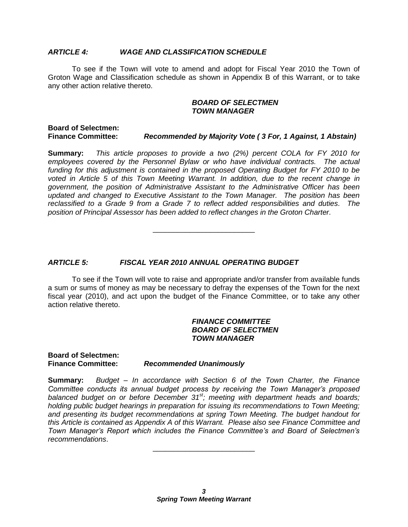#### *ARTICLE 4: WAGE AND CLASSIFICATION SCHEDULE*

To see if the Town will vote to amend and adopt for Fiscal Year 2010 the Town of Groton Wage and Classification schedule as shown in Appendix B of this Warrant, or to take any other action relative thereto.

#### *BOARD OF SELECTMEN TOWN MANAGER*

#### **Board of Selectmen: Finance Committee:** *Recommended by Majority Vote ( 3 For, 1 Against, 1 Abstain)*

**Summary:** *This article proposes to provide a two (2%) percent COLA for FY 2010 for employees covered by the Personnel Bylaw or who have individual contracts. The actual funding for this adjustment is contained in the proposed Operating Budget for FY 2010 to be voted in Article 5 of this Town Meeting Warrant. In addition, due to the recent change in government, the position of Administrative Assistant to the Administrative Officer has been updated and changed to Executive Assistant to the Town Manager. The position has been reclassified to a Grade 9 from a Grade 7 to reflect added responsibilities and duties. The position of Principal Assessor has been added to reflect changes in the Groton Charter.*

\_\_\_\_\_\_\_\_\_\_\_\_\_\_\_\_\_\_\_\_\_\_\_\_\_

#### *ARTICLE 5: FISCAL YEAR 2010 ANNUAL OPERATING BUDGET*

To see if the Town will vote to raise and appropriate and/or transfer from available funds a sum or sums of money as may be necessary to defray the expenses of the Town for the next fiscal year (2010), and act upon the budget of the Finance Committee, or to take any other action relative thereto.

#### *FINANCE COMMITTEE BOARD OF SELECTMEN TOWN MANAGER*

**Board of Selectmen: Finance Committee:** *Recommended Unanimously*

**Summary:** *Budget – In accordance with Section 6 of the Town Charter, the Finance Committee conducts its annual budget process by receiving the Town Manager's proposed balanced budget on or before December 31st; meeting with department heads and boards; holding public budget hearings in preparation for issuing its recommendations to Town Meeting; and presenting its budget recommendations at spring Town Meeting. The budget handout for this Article is contained as Appendix A of this Warrant. Please also see Finance Committee and Town Manager's Report which includes the Finance Committee's and Board of Selectmen's recommendations*.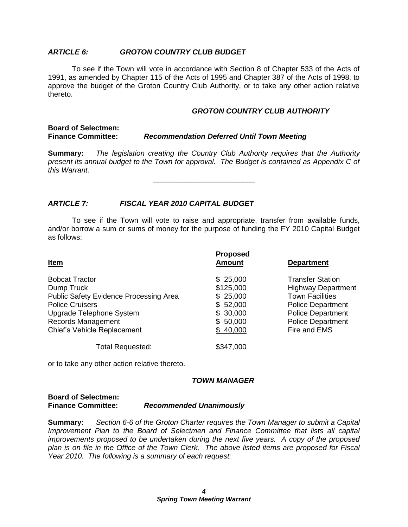#### *ARTICLE 6: GROTON COUNTRY CLUB BUDGET*

To see if the Town will vote in accordance with Section 8 of Chapter 533 of the Acts of 1991, as amended by Chapter 115 of the Acts of 1995 and Chapter 387 of the Acts of 1998, to approve the budget of the Groton Country Club Authority, or to take any other action relative thereto.

#### *GROTON COUNTRY CLUB AUTHORITY*

#### **Board of Selectmen: Finance Committee:** *Recommendation Deferred Until Town Meeting*

**Summary:** *The legislation creating the Country Club Authority requires that the Authority present its annual budget to the Town for approval. The Budget is contained as Appendix C of this Warrant.*

\_\_\_\_\_\_\_\_\_\_\_\_\_\_\_\_\_\_\_\_\_\_\_\_\_

#### *ARTICLE 7: FISCAL YEAR 2010 CAPITAL BUDGET*

To see if the Town will vote to raise and appropriate, transfer from available funds, and/or borrow a sum or sums of money for the purpose of funding the FY 2010 Capital Budget as follows:

| <u>Item</u>                                                                                                                                                      | <b>Proposed</b><br><b>Amount</b>                                      | <b>Department</b>                                                                                                                                                  |  |  |
|------------------------------------------------------------------------------------------------------------------------------------------------------------------|-----------------------------------------------------------------------|--------------------------------------------------------------------------------------------------------------------------------------------------------------------|--|--|
| <b>Bobcat Tractor</b><br>Dump Truck<br><b>Public Safety Evidence Processing Area</b><br><b>Police Cruisers</b><br>Upgrade Telephone System<br>Records Management | \$25,000<br>\$125,000<br>\$25,000<br>\$52,000<br>\$30,000<br>\$50,000 | <b>Transfer Station</b><br><b>Highway Department</b><br><b>Town Facilities</b><br><b>Police Department</b><br><b>Police Department</b><br><b>Police Department</b> |  |  |
| <b>Chief's Vehicle Replacement</b>                                                                                                                               | \$40,000                                                              | Fire and EMS                                                                                                                                                       |  |  |
| Total Requested:                                                                                                                                                 | \$347,000                                                             |                                                                                                                                                                    |  |  |

or to take any other action relative thereto.

#### *TOWN MANAGER*

#### **Board of Selectmen: Finance Committee:** *Recommended Unanimously*

**Summary:** *Section 6-6 of the Groton Charter requires the Town Manager to submit a Capital Improvement Plan to the Board of Selectmen and Finance Committee that lists all capital improvements proposed to be undertaken during the next five years. A copy of the proposed plan is on file in the Office of the Town Clerk. The above listed items are proposed for Fiscal Year 2010. The following is a summary of each request:*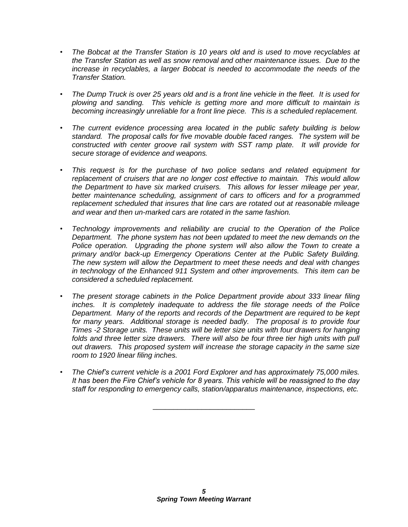- *• The Bobcat at the Transfer Station is 10 years old and is used to move recyclables at the Transfer Station as well as snow removal and other maintenance issues. Due to the increase in recyclables, a larger Bobcat is needed to accommodate the needs of the Transfer Station.*
- *• The Dump Truck is over 25 years old and is a front line vehicle in the fleet. It is used for plowing and sanding. This vehicle is getting more and more difficult to maintain is becoming increasingly unreliable for a front line piece. This is a scheduled replacement.*
- *• The current evidence processing area located in the public safety building is below standard. The proposal calls for five movable double faced ranges. The system will be constructed with center groove rail system with SST ramp plate. It will provide for secure storage of evidence and weapons.*
- *• This request is for the purchase of two police sedans and related equipment for replacement of cruisers that are no longer cost effective to maintain. This would allow the Department to have six marked cruisers. This allows for lesser mileage per year, better maintenance scheduling, assignment of cars to officers and for a programmed replacement scheduled that insures that line cars are rotated out at reasonable mileage and wear and then un-marked cars are rotated in the same fashion.*
- *• Technology improvements and reliability are crucial to the Operation of the Police Department. The phone system has not been updated to meet the new demands on the Police operation. Upgrading the phone system will also allow the Town to create a primary and/or back-up Emergency Operations Center at the Public Safety Building. The new system will allow the Department to meet these needs and deal with changes in technology of the Enhanced 911 System and other improvements. This item can be considered a scheduled replacement.*
- *• The present storage cabinets in the Police Department provide about 333 linear filing inches. It is completely inadequate to address the file storage needs of the Police Department. Many of the reports and records of the Department are required to be kept for many years. Additional storage is needed badly. The proposal is to provide four Times -2 Storage units. These units will be letter size units with four drawers for hanging*  folds and three letter size drawers. There will also be four three tier high units with pull *out drawers. This proposed system will increase the storage capacity in the same size room to 1920 linear filing inches.*
- *• The Chief's current vehicle is a 2001 Ford Explorer and has approximately 75,000 miles. It has been the Fire Chief's vehicle for 8 years. This vehicle will be reassigned to the day staff for responding to emergency calls, station/apparatus maintenance, inspections, etc.*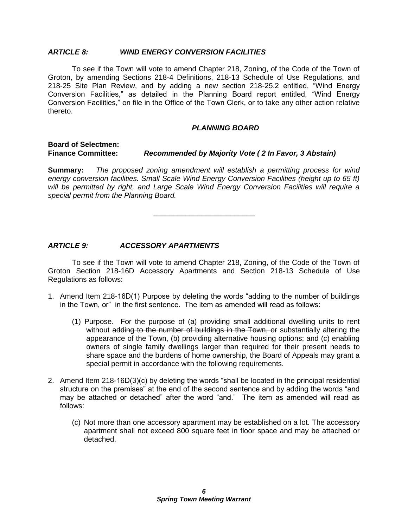#### *ARTICLE 8: WIND ENERGY CONVERSION FACILITIES*

To see if the Town will vote to amend Chapter 218, Zoning, of the Code of the Town of Groton, by amending Sections 218-4 Definitions, 218-13 Schedule of Use Regulations, and 218-25 Site Plan Review, and by adding a new section 218-25.2 entitled, "Wind Energy Conversion Facilities," as detailed in the Planning Board report entitled, "Wind Energy Conversion Facilities," on file in the Office of the Town Clerk, or to take any other action relative thereto.

#### *PLANNING BOARD*

#### **Board of Selectmen: Finance Committee:** *Recommended by Majority Vote ( 2 In Favor, 3 Abstain)*

**Summary:** *The proposed zoning amendment will establish a permitting process for wind energy conversion facilities. Small Scale Wind Energy Conversion Facilities (height up to 65 ft) will be permitted by right, and Large Scale Wind Energy Conversion Facilities will require a special permit from the Planning Board.*

\_\_\_\_\_\_\_\_\_\_\_\_\_\_\_\_\_\_\_\_\_\_\_\_\_

#### *ARTICLE 9: ACCESSORY APARTMENTS*

To see if the Town will vote to amend Chapter 218, Zoning, of the Code of the Town of Groton Section 218-16D Accessory Apartments and Section 218-13 Schedule of Use Regulations as follows:

- 1. Amend Item 218-16D(1) Purpose by deleting the words "adding to the number of buildings in the Town, or" in the first sentence. The item as amended will read as follows:
	- (1) Purpose. For the purpose of (a) providing small additional dwelling units to rent without adding to the number of buildings in the Town, or substantially altering the appearance of the Town, (b) providing alternative housing options; and (c) enabling owners of single family dwellings larger than required for their present needs to share space and the burdens of home ownership, the Board of Appeals may grant a special permit in accordance with the following requirements.
- 2. Amend Item 218-16D(3)(c) by deleting the words "shall be located in the principal residential structure on the premises" at the end of the second sentence and by adding the words "and may be attached or detached" after the word "and." The item as amended will read as follows:
	- (c) Not more than one accessory apartment may be established on a lot. The accessory apartment shall not exceed 800 square feet in floor space and may be attached or detached.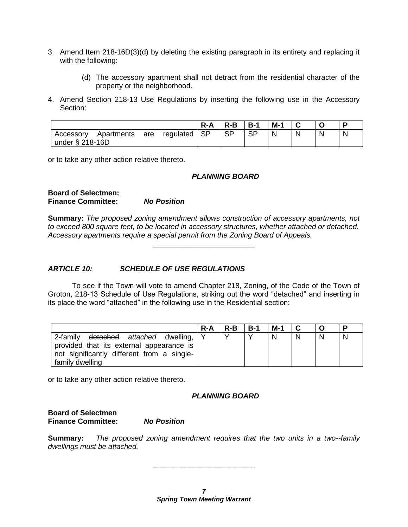- 3. Amend Item 218-16D(3)(d) by deleting the existing paragraph in its entirety and replacing it with the following:
	- (d) The accessory apartment shall not detract from the residential character of the property or the neighborhood.
- 4. Amend Section 218-13 Use Regulations by inserting the following use in the Accessory Section:

|                                               |     |           | R-A                         | $R-B$     | $B-1$     | $M-1$ |              | P |
|-----------------------------------------------|-----|-----------|-----------------------------|-----------|-----------|-------|--------------|---|
| Apartments<br>Accessory<br>under $\S$ 218-16D | are | regulated | $\overline{\phantom{a}}$ SP | <b>SP</b> | <b>SP</b> |       | $\mathbf{N}$ | N |

or to take any other action relative thereto.

#### *PLANNING BOARD*

#### **Board of Selectmen: Finance Committee:** *No Position*

**Summary:** *The proposed zoning amendment allows construction of accessory apartments, not to exceed 800 square feet, to be located in accessory structures, whether attached or detached. Accessory apartments require a special permit from the Zoning Board of Appeals.*

\_\_\_\_\_\_\_\_\_\_\_\_\_\_\_\_\_\_\_\_\_\_\_\_\_

#### *ARTICLE 10: SCHEDULE OF USE REGULATIONS*

To see if the Town will vote to amend Chapter 218, Zoning, of the Code of the Town of Groton, 218-13 Schedule of Use Regulations, striking out the word "detached" and inserting in its place the word "attached" in the following use in the Residential section:

|                                                                                                                                             | $R-A$ | R-B       | $B-1$ | M-1 |  |   |
|---------------------------------------------------------------------------------------------------------------------------------------------|-------|-----------|-------|-----|--|---|
| 2-family <del>detached</del> attached dwelling, Y<br>provided that its external appearance is<br>not significantly different from a single- |       | $\sqrt{}$ |       | N   |  | N |
| <sup>I</sup> family dwelling                                                                                                                |       |           |       |     |  |   |

or to take any other action relative thereto.

#### *PLANNING BOARD*

#### **Board of Selectmen Finance Committee:** *No Position*

**Summary:** *The proposed zoning amendment requires that the two units in a two--family dwellings must be attached.*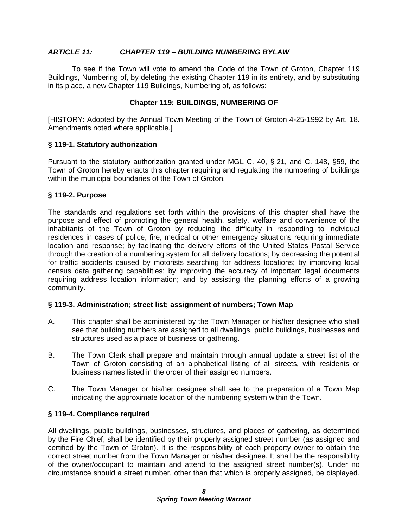#### *ARTICLE 11: CHAPTER 119 – BUILDING NUMBERING BYLAW*

To see if the Town will vote to amend the Code of the Town of Groton, Chapter 119 Buildings, Numbering of, by deleting the existing Chapter 119 in its entirety, and by substituting in its place, a new Chapter 119 Buildings, Numbering of, as follows:

#### **Chapter 119: BUILDINGS, NUMBERING OF**

[HISTORY: Adopted by the Annual Town Meeting of the Town of Groton 4-25-1992 by Art. 18. Amendments noted where applicable.]

#### **§ 119-1. Statutory authorization**

Pursuant to the statutory authorization granted under MGL C. 40, § 21, and C. 148, §59, the Town of Groton hereby enacts this chapter requiring and regulating the numbering of buildings within the municipal boundaries of the Town of Groton.

#### **§ 119-2. Purpose**

The standards and regulations set forth within the provisions of this chapter shall have the purpose and effect of promoting the general health, safety, welfare and convenience of the inhabitants of the Town of Groton by reducing the difficulty in responding to individual residences in cases of police, fire, medical or other emergency situations requiring immediate location and response; by facilitating the delivery efforts of the United States Postal Service through the creation of a numbering system for all delivery locations; by decreasing the potential for traffic accidents caused by motorists searching for address locations; by improving local census data gathering capabilities; by improving the accuracy of important legal documents requiring address location information; and by assisting the planning efforts of a growing community.

#### **§ 119-3. Administration; street list; assignment of numbers; Town Map**

- A. This chapter shall be administered by the Town Manager or his/her designee who shall see that building numbers are assigned to all dwellings, public buildings, businesses and structures used as a place of business or gathering.
- B. The Town Clerk shall prepare and maintain through annual update a street list of the Town of Groton consisting of an alphabetical listing of all streets, with residents or business names listed in the order of their assigned numbers.
- C. The Town Manager or his/her designee shall see to the preparation of a Town Map indicating the approximate location of the numbering system within the Town.

#### **§ 119-4. Compliance required**

All dwellings, public buildings, businesses, structures, and places of gathering, as determined by the Fire Chief, shall be identified by their properly assigned street number (as assigned and certified by the Town of Groton). It is the responsibility of each property owner to obtain the correct street number from the Town Manager or his/her designee. It shall be the responsibility of the owner/occupant to maintain and attend to the assigned street number(s). Under no circumstance should a street number, other than that which is properly assigned, be displayed.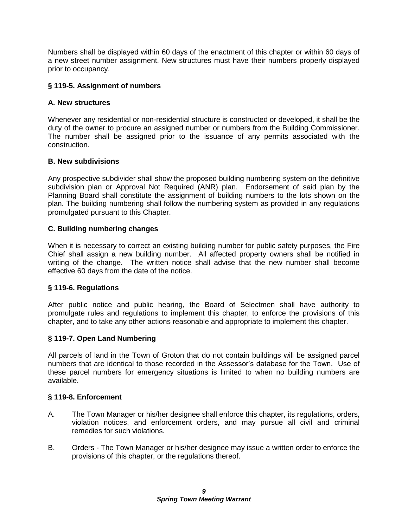Numbers shall be displayed within 60 days of the enactment of this chapter or within 60 days of a new street number assignment. New structures must have their numbers properly displayed prior to occupancy.

#### **§ 119-5. Assignment of numbers**

#### **A. New structures**

Whenever any residential or non-residential structure is constructed or developed, it shall be the duty of the owner to procure an assigned number or numbers from the Building Commissioner. The number shall be assigned prior to the issuance of any permits associated with the construction.

#### **B. New subdivisions**

Any prospective subdivider shall show the proposed building numbering system on the definitive subdivision plan or Approval Not Required (ANR) plan. Endorsement of said plan by the Planning Board shall constitute the assignment of building numbers to the lots shown on the plan. The building numbering shall follow the numbering system as provided in any regulations promulgated pursuant to this Chapter.

#### **C. Building numbering changes**

When it is necessary to correct an existing building number for public safety purposes, the Fire Chief shall assign a new building number. All affected property owners shall be notified in writing of the change. The written notice shall advise that the new number shall become effective 60 days from the date of the notice.

#### **§ 119-6. Regulations**

After public notice and public hearing, the Board of Selectmen shall have authority to promulgate rules and regulations to implement this chapter, to enforce the provisions of this chapter, and to take any other actions reasonable and appropriate to implement this chapter.

#### **§ 119-7. Open Land Numbering**

All parcels of land in the Town of Groton that do not contain buildings will be assigned parcel numbers that are identical to those recorded in the Assessor's database for the Town. Use of these parcel numbers for emergency situations is limited to when no building numbers are available.

#### **§ 119-8. Enforcement**

- A. The Town Manager or his/her designee shall enforce this chapter, its regulations, orders, violation notices, and enforcement orders, and may pursue all civil and criminal remedies for such violations.
- B. Orders The Town Manager or his/her designee may issue a written order to enforce the provisions of this chapter, or the regulations thereof.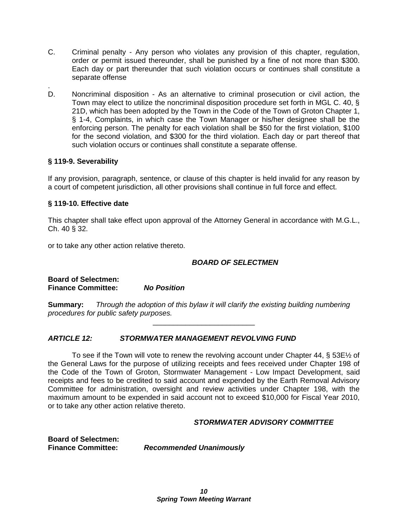- C. Criminal penalty Any person who violates any provision of this chapter, regulation, order or permit issued thereunder, shall be punished by a fine of not more than \$300. Each day or part thereunder that such violation occurs or continues shall constitute a separate offense
- . D. Noncriminal disposition - As an alternative to criminal prosecution or civil action, the Town may elect to utilize the noncriminal disposition procedure set forth in MGL C. 40, § 21D, which has been adopted by the Town in the Code of the Town of Groton Chapter 1, § 1-4, Complaints, in which case the Town Manager or his/her designee shall be the enforcing person. The penalty for each violation shall be \$50 for the first violation, \$100 for the second violation, and \$300 for the third violation. Each day or part thereof that such violation occurs or continues shall constitute a separate offense.

#### **§ 119-9. Severability**

If any provision, paragraph, sentence, or clause of this chapter is held invalid for any reason by a court of competent jurisdiction, all other provisions shall continue in full force and effect.

#### **§ 119-10. Effective date**

This chapter shall take effect upon approval of the Attorney General in accordance with M.G.L., Ch. 40 § 32.

or to take any other action relative thereto.

#### *BOARD OF SELECTMEN*

**Board of Selectmen: Finance Committee:** *No Position*

**Summary:** *Through the adoption of this bylaw it will clarify the existing building numbering procedures for public safety purposes.*

\_\_\_\_\_\_\_\_\_\_\_\_\_\_\_\_\_\_\_\_\_\_\_\_\_

#### *ARTICLE 12: STORMWATER MANAGEMENT REVOLVING FUND*

To see if the Town will vote to renew the revolving account under Chapter 44,  $\S 53E\%$  of the General Laws for the purpose of utilizing receipts and fees received under Chapter 198 of the Code of the Town of Groton, Stormwater Management - Low Impact Development, said receipts and fees to be credited to said account and expended by the Earth Removal Advisory Committee for administration, oversight and review activities under Chapter 198, with the maximum amount to be expended in said account not to exceed \$10,000 for Fiscal Year 2010, or to take any other action relative thereto.

#### *STORMWATER ADVISORY COMMITTEE*

**Board of Selectmen:**

**Finance Committee:** *Recommended Unanimously*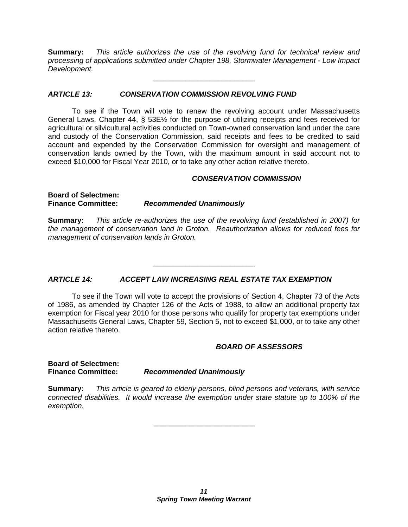**Summary:** *This article authorizes the use of the revolving fund for technical review and processing of applications submitted under Chapter 198, Stormwater Management - Low Impact Development.*

\_\_\_\_\_\_\_\_\_\_\_\_\_\_\_\_\_\_\_\_\_\_\_\_\_

#### *ARTICLE 13: CONSERVATION COMMISSION REVOLVING FUND*

To see if the Town will vote to renew the revolving account under Massachusetts General Laws, Chapter 44, § 53E½ for the purpose of utilizing receipts and fees received for agricultural or silvicultural activities conducted on Town-owned conservation land under the care and custody of the Conservation Commission, said receipts and fees to be credited to said account and expended by the Conservation Commission for oversight and management of conservation lands owned by the Town, with the maximum amount in said account not to exceed \$10,000 for Fiscal Year 2010, or to take any other action relative thereto.

#### *CONSERVATION COMMISSION*

**Board of Selectmen: Finance Committee:** *Recommended Unanimously*

**Summary:** *This article re-authorizes the use of the revolving fund (established in 2007) for the management of conservation land in Groton. Reauthorization allows for reduced fees for management of conservation lands in Groton.*

\_\_\_\_\_\_\_\_\_\_\_\_\_\_\_\_\_\_\_\_\_\_\_\_\_

#### *ARTICLE 14: ACCEPT LAW INCREASING REAL ESTATE TAX EXEMPTION*

To see if the Town will vote to accept the provisions of Section 4, Chapter 73 of the Acts of 1986, as amended by Chapter 126 of the Acts of 1988, to allow an additional property tax exemption for Fiscal year 2010 for those persons who qualify for property tax exemptions under Massachusetts General Laws, Chapter 59, Section 5, not to exceed \$1,000, or to take any other action relative thereto.

#### *BOARD OF ASSESSORS*

**Board of Selectmen:**

#### **Finance Committee:** *Recommended Unanimously*

**Summary:** *This article is geared to elderly persons, blind persons and veterans, with service connected disabilities. It would increase the exemption under state statute up to 100% of the exemption.*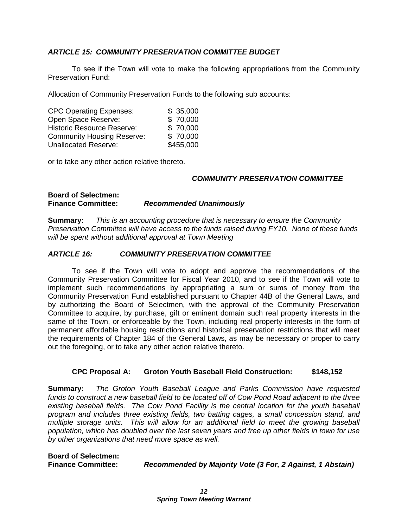#### *ARTICLE 15: COMMUNITY PRESERVATION COMMITTEE BUDGET*

To see if the Town will vote to make the following appropriations from the Community Preservation Fund:

Allocation of Community Preservation Funds to the following sub accounts:

| <b>CPC Operating Expenses:</b>    | \$35,000  |
|-----------------------------------|-----------|
| Open Space Reserve:               | \$70,000  |
| <b>Historic Resource Reserve:</b> | \$70,000  |
| <b>Community Housing Reserve:</b> | \$70,000  |
| <b>Unallocated Reserve:</b>       | \$455,000 |

or to take any other action relative thereto.

#### *COMMUNITY PRESERVATION COMMITTEE*

#### **Board of Selectmen: Finance Committee:** *Recommended Unanimously*

**Summary:** *This is an accounting procedure that is necessary to ensure the Community Preservation Committee will have access to the funds raised during FY10. None of these funds will be spent without additional approval at Town Meeting*

#### *ARTICLE 16: COMMUNITY PRESERVATION COMMITTEE*

To see if the Town will vote to adopt and approve the recommendations of the Community Preservation Committee for Fiscal Year 2010, and to see if the Town will vote to implement such recommendations by appropriating a sum or sums of money from the Community Preservation Fund established pursuant to Chapter 44B of the General Laws, and by authorizing the Board of Selectmen, with the approval of the Community Preservation Committee to acquire, by purchase, gift or eminent domain such real property interests in the same of the Town, or enforceable by the Town, including real property interests in the form of permanent affordable housing restrictions and historical preservation restrictions that will meet the requirements of Chapter 184 of the General Laws, as may be necessary or proper to carry out the foregoing, or to take any other action relative thereto.

#### **CPC Proposal A: Groton Youth Baseball Field Construction: \$148,152**

**Summary:** *The Groton Youth Baseball League and Parks Commission have requested funds to construct a new baseball field to be located off of Cow Pond Road adjacent to the three existing baseball fields. The Cow Pond Facility is the central location for the youth baseball program and includes three existing fields, two batting cages, a small concession stand, and multiple storage units. This will allow for an additional field to meet the growing baseball population, which has doubled over the last seven years and free up other fields in town for use by other organizations that need more space as well.*

**Board of Selectmen:**

**Finance Committee:** *Recommended by Majority Vote (3 For, 2 Against, 1 Abstain)*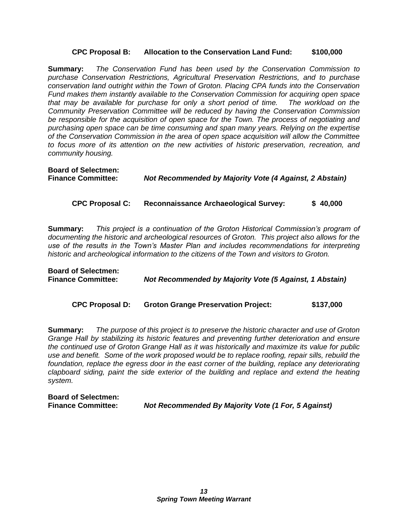#### **CPC Proposal B: Allocation to the Conservation Land Fund: \$100,000**

**Summary:** *The Conservation Fund has been used by the Conservation Commission to purchase Conservation Restrictions, Agricultural Preservation Restrictions, and to purchase conservation land outright within the Town of Groton. Placing CPA funds into the Conservation Fund makes them instantly available to the Conservation Commission for acquiring open space that may be available for purchase for only a short period of time. The workload on the Community Preservation Committee will be reduced by having the Conservation Commission be responsible for the acquisition of open space for the Town. The process of negotiating and purchasing open space can be time consuming and span many years. Relying on the expertise of the Conservation Commission in the area of open space acquisition will allow the Committee to focus more of its attention on the new activities of historic preservation, recreation, and community housing.* 

**Board of Selectmen: Finance Committee:** *Not Recommended by Majority Vote (4 Against, 2 Abstain)*

#### **CPC Proposal C: Reconnaissance Archaeological Survey: \$ 40,000**

**Summary:** *This project is a continuation of the Groton Historical Commission's program of documenting the historic and archeological resources of Groton. This project also allows for the use of the results in the Town's Master Plan and includes recommendations for interpreting historic and archeological information to the citizens of the Town and visitors to Groton.*

**Board of Selectmen: Finance Committee:** *Not Recommended by Majority Vote (5 Against, 1 Abstain)*

**CPC Proposal D: Groton Grange Preservation Project: \$137,000**

**Summary:** *The purpose of this project is to preserve the historic character and use of Groton Grange Hall by stabilizing its historic features and preventing further deterioration and ensure the continued use of Groton Grange Hall as it was historically and maximize its value for public use and benefit. Some of the work proposed would be to replace roofing, repair sills, rebuild the*  foundation, replace the egress door in the east corner of the building, replace any deteriorating *clapboard siding, paint the side exterior of the building and replace and extend the heating system.*

**Board of Selectmen: Finance Committee:** *Not Recommended By Majority Vote (1 For, 5 Against)*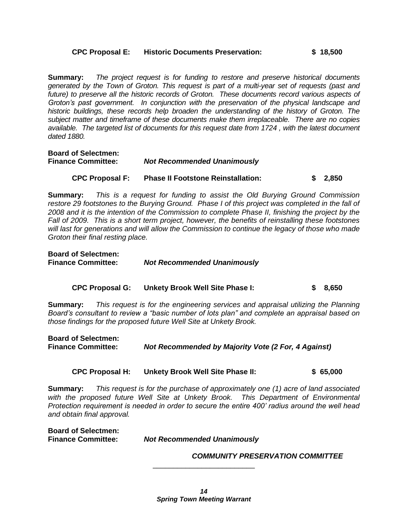#### **CPC Proposal E: Historic Documents Preservation: \$ 18,500**

**Summary:** *The project request is for funding to restore and preserve historical documents generated by the Town of Groton. This request is part of a multi-year set of requests (past and future) to preserve all the historic records of Groton. These documents record various aspects of Groton's past government. In conjunction with the preservation of the physical landscape and historic buildings, these records help broaden the understanding of the history of Groton. The subject matter and timeframe of these documents make them irreplaceable. There are no copies available. The targeted list of documents for this request date from 1724 , with the latest document dated 1880.*

**Board of Selectmen: Finance Committee:** *Not Recommended Unanimously*

#### **CPC Proposal F: Phase II Footstone Reinstallation: \$ 2,850**

**Summary:** *This is a request for funding to assist the Old Burying Ground Commission restore 29 footstones to the Burying Ground. Phase I of this project was completed in the fall of 2008 and it is the intention of the Commission to complete Phase II, finishing the project by the Fall of 2009. This is a short term project, however, the benefits of reinstalling these footstones will last for generations and will allow the Commission to continue the legacy of those who made Groton their final resting place.*

| <b>Board of Selectmen:</b> |                                    |
|----------------------------|------------------------------------|
| <b>Finance Committee:</b>  | <b>Not Recommended Unanimously</b> |

#### **CPC Proposal G: Unkety Brook Well Site Phase I: \$ 8,650**

**Summary:** *This request is for the engineering services and appraisal utilizing the Planning Board's consultant to review a "basic number of lots plan" and complete an appraisal based on those findings for the proposed future Well Site at Unkety Brook.*

| <b>Board of Selectmen:</b> |                                                     |
|----------------------------|-----------------------------------------------------|
| <b>Finance Committee:</b>  | Not Recommended by Majority Vote (2 For, 4 Against) |

#### **CPC Proposal H: Unkety Brook Well Site Phase II: \$ 65,000**

**Summary:** *This request is for the purchase of approximately one (1) acre of land associated*  with the proposed future Well Site at Unkety Brook. This Department of Environmental *Protection requirement is needed in order to secure the entire 400' radius around the well head and obtain final approval.*

**Board of Selectmen: Not Recommended Unanimously** 

*COMMUNITY PRESERVATION COMMITTEE*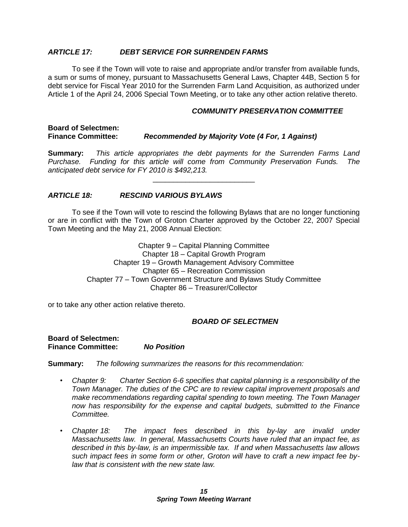#### *ARTICLE 17: DEBT SERVICE FOR SURRENDEN FARMS*

To see if the Town will vote to raise and appropriate and/or transfer from available funds, a sum or sums of money, pursuant to Massachusetts General Laws, Chapter 44B, Section 5 for debt service for Fiscal Year 2010 for the Surrenden Farm Land Acquisition, as authorized under Article 1 of the April 24, 2006 Special Town Meeting, or to take any other action relative thereto.

#### *COMMUNITY PRESERVATION COMMITTEE*

#### **Board of Selectmen: Finance Committee:** *Recommended by Majority Vote (4 For, 1 Against)*

**Summary:** *This article appropriates the debt payments for the Surrenden Farms Land Purchase. Funding for this article will come from Community Preservation Funds. The anticipated debt service for FY 2010 is \$492,213.*

\_\_\_\_\_\_\_\_\_\_\_\_\_\_\_\_\_\_\_\_\_\_\_\_\_

#### *ARTICLE 18: RESCIND VARIOUS BYLAWS*

To see if the Town will vote to rescind the following Bylaws that are no longer functioning or are in conflict with the Town of Groton Charter approved by the October 22, 2007 Special Town Meeting and the May 21, 2008 Annual Election:

> Chapter 9 – Capital Planning Committee Chapter 18 – Capital Growth Program Chapter 19 – Growth Management Advisory Committee Chapter 65 – Recreation Commission Chapter 77 – Town Government Structure and Bylaws Study Committee Chapter 86 – Treasurer/Collector

or to take any other action relative thereto.

#### *BOARD OF SELECTMEN*

**Board of Selectmen: Finance Committee:** *No Position*

**Summary:** *The following summarizes the reasons for this recommendation:*

- *• Chapter 9: Charter Section 6-6 specifies that capital planning is a responsibility of the Town Manager. The duties of the CPC are to review capital improvement proposals and make recommendations regarding capital spending to town meeting. The Town Manager now has responsibility for the expense and capital budgets, submitted to the Finance Committee.*
- *• Chapter 18: The impact fees described in this by-lay are invalid under Massachusetts law. In general, Massachusetts Courts have ruled that an impact fee, as described in this by-law, is an impermissible tax. If and when Massachusetts law allows such impact fees in some form or other, Groton will have to craft a new impact fee bylaw that is consistent with the new state law.*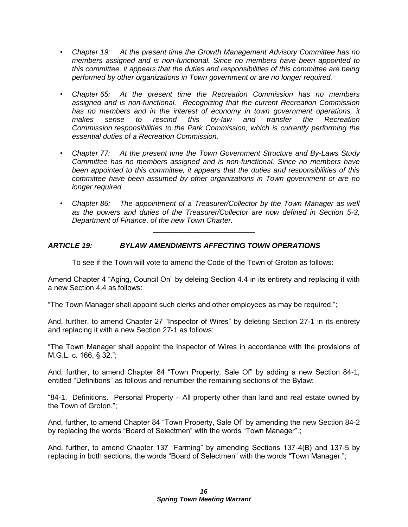- *• Chapter 19: At the present time the Growth Management Advisory Committee has no members assigned and is non-functional. Since no members have been appointed to this committee, it appears that the duties and responsibilities of this committee are being performed by other organizations in Town government or are no longer required.*
- *• Chapter 65: At the present time the Recreation Commission has no members assigned and is non-functional. Recognizing that the current Recreation Commission*  has no members and in the interest of economy in town government operations, it *makes sense to rescind this by-law and transfer the Recreation Commission responsibilities to the Park Commission, which is currently performing the essential duties of a Recreation Commission.*
- *• Chapter 77: At the present time the Town Government Structure and By-Laws Study Committee has no members assigned and is non-functional. Since no members have been appointed to this committee, it appears that the duties and responsibilities of this committee have been assumed by other organizations in Town government or are no longer required.*
- *• Chapter 86: The appointment of a Treasurer/Collector by the Town Manager as well as the powers and duties of the Treasurer/Collector are now defined in Section 5-3, Department of Finance, of the new Town Charter.*

#### *ARTICLE 19: BYLAW AMENDMENTS AFFECTING TOWN OPERATIONS*

To see if the Town will vote to amend the Code of the Town of Groton as follows:

\_\_\_\_\_\_\_\_\_\_\_\_\_\_\_\_\_\_\_\_\_\_\_\_\_

Amend Chapter 4 "Aging, Council On" by deleing Section 4.4 in its entirety and replacing it with a new Section 4.4 as follows:

"The Town Manager shall appoint such clerks and other employees as may be required.";

And, further, to amend Chapter 27 "Inspector of Wires" by deleting Section 27-1 in its entirety and replacing it with a new Section 27-1 as follows:

"The Town Manager shall appoint the Inspector of Wires in accordance with the provisions of M.G.L. c. 166, § 32.";

And, further, to amend Chapter 84 "Town Property, Sale Of" by adding a new Section 84-1, entitled "Definitions" as follows and renumber the remaining sections of the Bylaw:

"84-1. Definitions. Personal Property – All property other than land and real estate owned by the Town of Groton.";

And, further, to amend Chapter 84 "Town Property, Sale Of" by amending the new Section 84-2 by replacing the words "Board of Selectmen" with the words "Town Manager".;

And, further, to amend Chapter 137 "Farming" by amending Sections 137-4(B) and 137-5 by replacing in both sections, the words "Board of Selectmen" with the words "Town Manager.";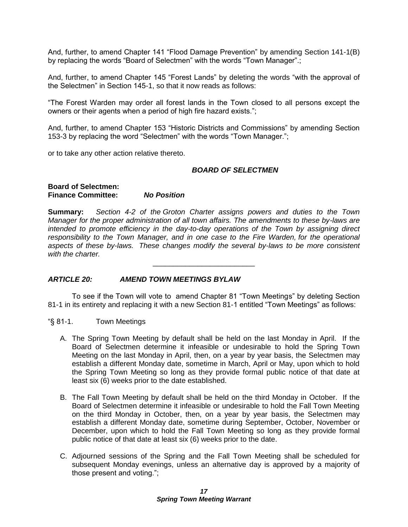And, further, to amend Chapter 141 "Flood Damage Prevention" by amending Section 141-1(B) by replacing the words "Board of Selectmen" with the words "Town Manager".;

And, further, to amend Chapter 145 "Forest Lands" by deleting the words "with the approval of the Selectmen" in Section 145-1, so that it now reads as follows:

"The Forest Warden may order all forest lands in the Town closed to all persons except the owners or their agents when a period of high fire hazard exists.";

And, further, to amend Chapter 153 "Historic Districts and Commissions" by amending Section 153-3 by replacing the word "Selectmen" with the words "Town Manager.";

or to take any other action relative thereto.

#### *BOARD OF SELECTMEN*

#### **Board of Selectmen: Finance Committee:** *No Position*

**Summary:** *Section 4-2 of the Groton Charter assigns powers and duties to the Town Manager for the proper administration of all town affairs. The amendments to these by-laws are intended to promote efficiency in the day-to-day operations of the Town by assigning direct responsibility to the Town Manager, and in one case to the Fire Warden, for the operational aspects of these by-laws. These changes modify the several by-laws to be more consistent with the charter.*

\_\_\_\_\_\_\_\_\_\_\_\_\_\_\_\_\_\_\_\_\_\_\_\_\_

#### *ARTICLE 20: AMEND TOWN MEETINGS BYLAW*

To see if the Town will vote to amend Chapter 81 "Town Meetings" by deleting Section 81-1 in its entirety and replacing it with a new Section 81-1 entitled "Town Meetings" as follows:

- "§ 81-1. Town Meetings
	- A. The Spring Town Meeting by default shall be held on the last Monday in April. If the Board of Selectmen determine it infeasible or undesirable to hold the Spring Town Meeting on the last Monday in April, then, on a year by year basis, the Selectmen may establish a different Monday date, sometime in March, April or May, upon which to hold the Spring Town Meeting so long as they provide formal public notice of that date at least six (6) weeks prior to the date established.
	- B. The Fall Town Meeting by default shall be held on the third Monday in October. If the Board of Selectmen determine it infeasible or undesirable to hold the Fall Town Meeting on the third Monday in October, then, on a year by year basis, the Selectmen may establish a different Monday date, sometime during September, October, November or December, upon which to hold the Fall Town Meeting so long as they provide formal public notice of that date at least six (6) weeks prior to the date.
	- C. Adjourned sessions of the Spring and the Fall Town Meeting shall be scheduled for subsequent Monday evenings, unless an alternative day is approved by a majority of those present and voting.";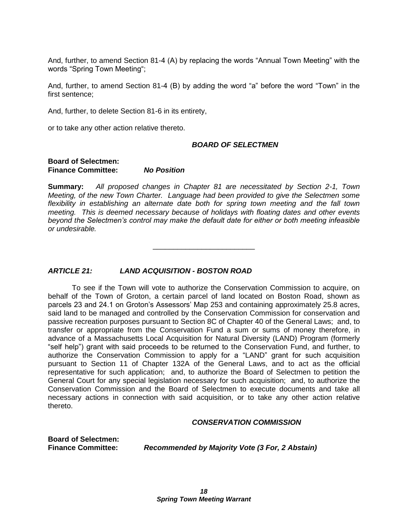And, further, to amend Section 81-4 (A) by replacing the words "Annual Town Meeting" with the words "Spring Town Meeting";

And, further, to amend Section 81-4 (B) by adding the word "a" before the word "Town" in the first sentence;

And, further, to delete Section 81-6 in its entirety,

or to take any other action relative thereto.

#### *BOARD OF SELECTMEN*

#### **Board of Selectmen: Finance Committee:** *No Position*

**Summary:** *All proposed changes in Chapter 81 are necessitated by Section 2-1, Town Meeting, of the new Town Charter. Language had been provided to give the Selectmen some flexibility in establishing an alternate date both for spring town meeting and the fall town meeting. This is deemed necessary because of holidays with floating dates and other events beyond the Selectmen's control may make the default date for either or both meeting infeasible or undesirable.*

\_\_\_\_\_\_\_\_\_\_\_\_\_\_\_\_\_\_\_\_\_\_\_\_\_

#### *ARTICLE 21: LAND ACQUISITION - BOSTON ROAD*

To see if the Town will vote to authorize the Conservation Commission to acquire, on behalf of the Town of Groton, a certain parcel of land located on Boston Road, shown as parcels 23 and 24.1 on Groton's Assessors' Map 253 and containing approximately 25.8 acres, said land to be managed and controlled by the Conservation Commission for conservation and passive recreation purposes pursuant to Section 8C of Chapter 40 of the General Laws; and, to transfer or appropriate from the Conservation Fund a sum or sums of money therefore, in advance of a Massachusetts Local Acquisition for Natural Diversity (LAND) Program (formerly "self help") grant with said proceeds to be returned to the Conservation Fund, and further, to authorize the Conservation Commission to apply for a "LAND" grant for such acquisition pursuant to Section 11 of Chapter 132A of the General Laws, and to act as the official representative for such application; and, to authorize the Board of Selectmen to petition the General Court for any special legislation necessary for such acquisition; and, to authorize the Conservation Commission and the Board of Selectmen to execute documents and take all necessary actions in connection with said acquisition, or to take any other action relative thereto.

#### *CONSERVATION COMMISSION*

**Board of Selectmen:**

**Finance Committee:** *Recommended by Majority Vote (3 For, 2 Abstain)*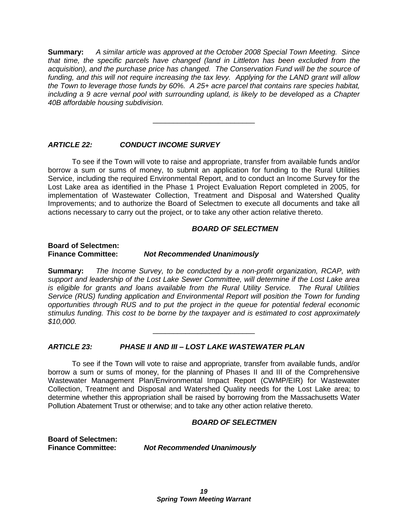**Summary:** *A similar article was approved at the October 2008 Special Town Meeting. Since that time, the specific parcels have changed (land in Littleton has been excluded from the acquisition), and the purchase price has changed. The Conservation Fund will be the source of funding, and this will not require increasing the tax levy. Applying for the LAND grant will allow the Town to leverage those funds by 60%. A 25+ acre parcel that contains rare species habitat, including a 9 acre vernal pool with surrounding upland, is likely to be developed as a Chapter 40B affordable housing subdivision.*

\_\_\_\_\_\_\_\_\_\_\_\_\_\_\_\_\_\_\_\_\_\_\_\_\_

#### *ARTICLE 22: CONDUCT INCOME SURVEY*

To see if the Town will vote to raise and appropriate, transfer from available funds and/or borrow a sum or sums of money, to submit an application for funding to the Rural Utilities Service, including the required Environmental Report, and to conduct an Income Survey for the Lost Lake area as identified in the Phase 1 Project Evaluation Report completed in 2005, for implementation of Wastewater Collection, Treatment and Disposal and Watershed Quality Improvements; and to authorize the Board of Selectmen to execute all documents and take all actions necessary to carry out the project, or to take any other action relative thereto.

#### *BOARD OF SELECTMEN*

#### **Board of Selectmen: Finance Committee:** *Not Recommended Unanimously*

**Summary:** *The Income Survey, to be conducted by a non-profit organization, RCAP, with support and leadership of the Lost Lake Sewer Committee, will determine if the Lost Lake area is eligible for grants and loans available from the Rural Utility Service. The Rural Utilities Service (RUS) funding application and Environmental Report will position the Town for funding opportunities through RUS and to put the project in the queue for potential federal economic stimulus funding. This cost to be borne by the taxpayer and is estimated to cost approximately \$10,000.*

\_\_\_\_\_\_\_\_\_\_\_\_\_\_\_\_\_\_\_\_\_\_\_\_\_

#### *ARTICLE 23: PHASE II AND III – LOST LAKE WASTEWATER PLAN*

To see if the Town will vote to raise and appropriate, transfer from available funds, and/or borrow a sum or sums of money, for the planning of Phases II and III of the Comprehensive Wastewater Management Plan/Environmental Impact Report (CWMP/EIR) for Wastewater Collection, Treatment and Disposal and Watershed Quality needs for the Lost Lake area; to determine whether this appropriation shall be raised by borrowing from the Massachusetts Water Pollution Abatement Trust or otherwise; and to take any other action relative thereto.

#### *BOARD OF SELECTMEN*

**Board of Selectmen:**

**Finance Committee:** *Not Recommended Unanimously*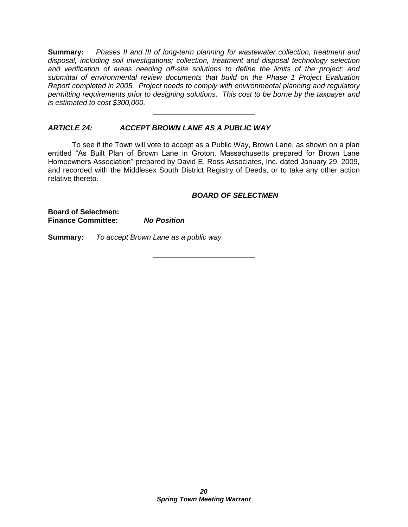**Summary:** *Phases II and III of long-term planning for wastewater collection, treatment and disposal, including soil investigations; collection, treatment and disposal technology selection and verification of areas needing off-site solutions to define the limits of the project; and submittal of environmental review documents that build on the Phase 1 Project Evaluation Report completed in 2005. Project needs to comply with environmental planning and regulatory permitting requirements prior to designing solutions. This cost to be borne by the taxpayer and is estimated to cost \$300,000.*

\_\_\_\_\_\_\_\_\_\_\_\_\_\_\_\_\_\_\_\_\_\_\_\_\_

#### *ARTICLE 24: ACCEPT BROWN LANE AS A PUBLIC WAY*

To see if the Town will vote to accept as a Public Way, Brown Lane, as shown on a plan entitled "As Built Plan of Brown Lane in Groton, Massachusetts prepared for Brown Lane Homeowners Association" prepared by David E. Ross Associates, Inc. dated January 29, 2009, and recorded with the Middlesex South District Registry of Deeds, or to take any other action relative thereto.

\_\_\_\_\_\_\_\_\_\_\_\_\_\_\_\_\_\_\_\_\_\_\_\_\_

#### *BOARD OF SELECTMEN*

**Board of Selectmen: Finance Committee:** *No Position*

**Summary:** *To accept Brown Lane as a public way.*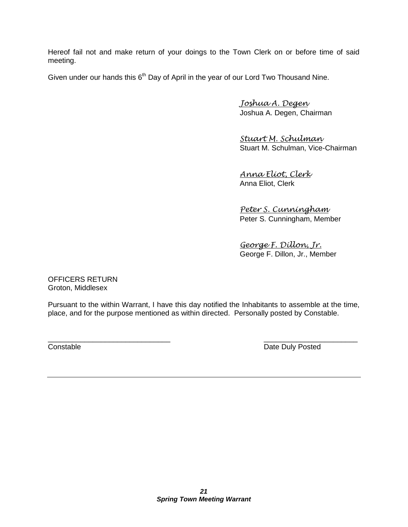Hereof fail not and make return of your doings to the Town Clerk on or before time of said meeting.

Given under our hands this  $6<sup>th</sup>$  Day of April in the year of our Lord Two Thousand Nine.

*Joshua A. Degen* Joshua A. Degen, Chairman

*Stuart M. Schulman* Stuart M. Schulman, Vice-Chairman

*Anna Eliot, Clerk* Anna Eliot, Clerk

*Peter S. Cunningham* Peter S. Cunningham, Member

*George F. Dillon, Jr.* George F. Dillon, Jr., Member

OFFICERS RETURN Groton, Middlesex

Pursuant to the within Warrant, I have this day notified the Inhabitants to assemble at the time, place, and for the purpose mentioned as within directed. Personally posted by Constable.

 $\overline{\phantom{a}}$  , and the contract of the contract of the contract of the contract of the contract of the contract of the contract of the contract of the contract of the contract of the contract of the contract of the contrac **Constable Constable Date Duly Posted**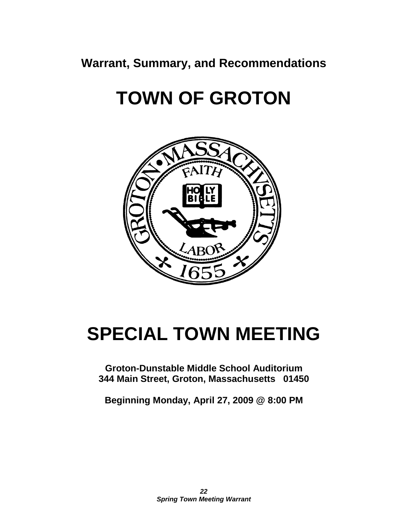**Warrant, Summary, and Recommendations**

## **TOWN OF GROTON**



### **SPECIAL TOWN MEETING**

**Groton-Dunstable Middle School Auditorium 344 Main Street, Groton, Massachusetts 01450**

**Beginning Monday, April 27, 2009 @ 8:00 PM**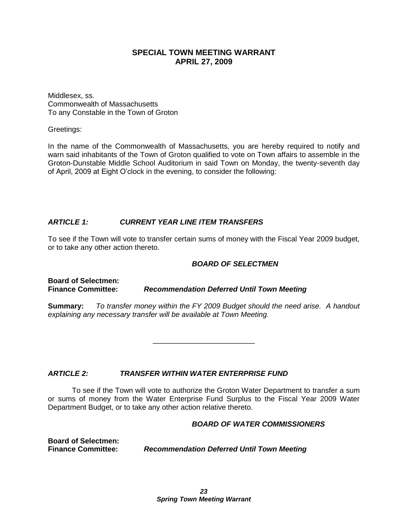#### **SPECIAL TOWN MEETING WARRANT APRIL 27, 2009**

Middlesex, ss. Commonwealth of Massachusetts To any Constable in the Town of Groton

Greetings:

In the name of the Commonwealth of Massachusetts, you are hereby required to notify and warn said inhabitants of the Town of Groton qualified to vote on Town affairs to assemble in the Groton-Dunstable Middle School Auditorium in said Town on Monday, the twenty-seventh day of April, 2009 at Eight O'clock in the evening, to consider the following:

#### *ARTICLE 1: CURRENT YEAR LINE ITEM TRANSFERS*

To see if the Town will vote to transfer certain sums of money with the Fiscal Year 2009 budget, or to take any other action thereto.

#### *BOARD OF SELECTMEN*

**Board of Selectmen: Finance Committee:** *Recommendation Deferred Until Town Meeting*

**Summary:** *To transfer money within the FY 2009 Budget should the need arise. A handout explaining any necessary transfer will be available at Town Meeting.*

\_\_\_\_\_\_\_\_\_\_\_\_\_\_\_\_\_\_\_\_\_\_\_\_\_

*ARTICLE 2: TRANSFER WITHIN WATER ENTERPRISE FUND*

To see if the Town will vote to authorize the Groton Water Department to transfer a sum or sums of money from the Water Enterprise Fund Surplus to the Fiscal Year 2009 Water Department Budget, or to take any other action relative thereto.

#### *BOARD OF WATER COMMISSIONERS*

**Board of Selectmen:**

**Finance Committee:** *Recommendation Deferred Until Town Meeting*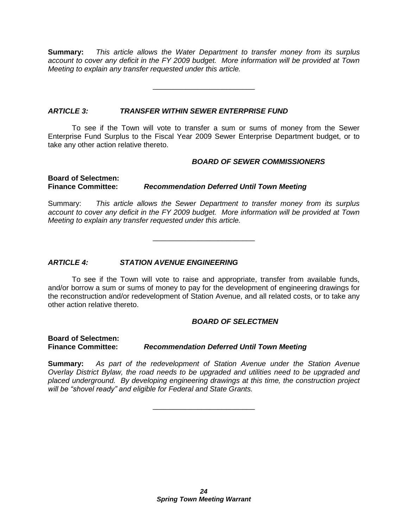**Summary:** *This article allows the Water Department to transfer money from its surplus account to cover any deficit in the FY 2009 budget. More information will be provided at Town Meeting to explain any transfer requested under this article.*

\_\_\_\_\_\_\_\_\_\_\_\_\_\_\_\_\_\_\_\_\_\_\_\_\_

#### *ARTICLE 3: TRANSFER WITHIN SEWER ENTERPRISE FUND*

To see if the Town will vote to transfer a sum or sums of money from the Sewer Enterprise Fund Surplus to the Fiscal Year 2009 Sewer Enterprise Department budget, or to take any other action relative thereto.

#### *BOARD OF SEWER COMMISSIONERS*

**Board of Selectmen:**

**Finance Committee:** *Recommendation Deferred Until Town Meeting*

Summary: *This article allows the Sewer Department to transfer money from its surplus account to cover any deficit in the FY 2009 budget. More information will be provided at Town Meeting to explain any transfer requested under this article.*

\_\_\_\_\_\_\_\_\_\_\_\_\_\_\_\_\_\_\_\_\_\_\_\_\_

#### *ARTICLE 4: STATION AVENUE ENGINEERING*

To see if the Town will vote to raise and appropriate, transfer from available funds, and/or borrow a sum or sums of money to pay for the development of engineering drawings for the reconstruction and/or redevelopment of Station Avenue, and all related costs, or to take any other action relative thereto.

#### *BOARD OF SELECTMEN*

**Board of Selectmen:**

**Finance Committee:** *Recommendation Deferred Until Town Meeting*

**Summary:** *As part of the redevelopment of Station Avenue under the Station Avenue Overlay District Bylaw, the road needs to be upgraded and utilities need to be upgraded and placed underground. By developing engineering drawings at this time, the construction project will be "shovel ready" and eligible for Federal and State Grants.*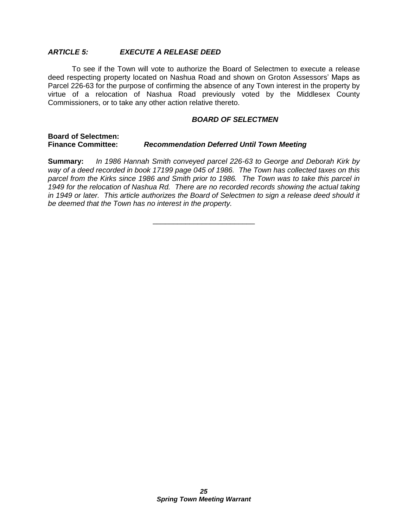#### *ARTICLE 5: EXECUTE A RELEASE DEED*

To see if the Town will vote to authorize the Board of Selectmen to execute a release deed respecting property located on Nashua Road and shown on Groton Assessors' Maps as Parcel 226-63 for the purpose of confirming the absence of any Town interest in the property by virtue of a relocation of Nashua Road previously voted by the Middlesex County Commissioners, or to take any other action relative thereto.

#### *BOARD OF SELECTMEN*

#### **Board of Selectmen: Finance Committee:** *Recommendation Deferred Until Town Meeting*

**Summary:** *In 1986 Hannah Smith conveyed parcel 226-63 to George and Deborah Kirk by way of a deed recorded in book 17199 page 045 of 1986. The Town has collected taxes on this parcel from the Kirks since 1986 and Smith prior to 1986. The Town was to take this parcel in 1949 for the relocation of Nashua Rd. There are no recorded records showing the actual taking in 1949 or later. This article authorizes the Board of Selectmen to sign a release deed should it be deemed that the Town has no interest in the property.*